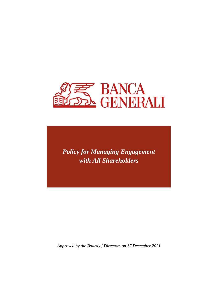

*Policy for Managing Engagement with All Shareholders*

*Approved by the Board of Directors on 17 December 2021*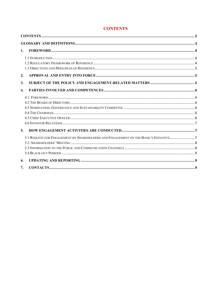| 1.                                                                                  |
|-------------------------------------------------------------------------------------|
|                                                                                     |
| 2.                                                                                  |
| 3.                                                                                  |
| $\boldsymbol{4}$ .                                                                  |
|                                                                                     |
| 5.                                                                                  |
| 5.1 REQUEST FOR ENGAGEMENT BY SHAREHOLDERS AND ENGAGEMENT ON THE BANK'S INITIATIVE7 |
| 6.                                                                                  |
| 7.                                                                                  |

# **CONTENTS**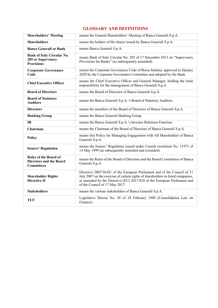# **GLOSSARY AND DEFINITIONS**

| <b>Shareholders' Meeting</b>                                                        | means the General Shareholders' Meeting of Banca Generali S.p.A.                                                                                                                                                                                                           |
|-------------------------------------------------------------------------------------|----------------------------------------------------------------------------------------------------------------------------------------------------------------------------------------------------------------------------------------------------------------------------|
| <b>Shareholders</b>                                                                 | means the holders of the shares issued by Banca Generali S.p.A.                                                                                                                                                                                                            |
| <b>Banca Generali or Bank</b>                                                       | means Banca Generali S.p.A.                                                                                                                                                                                                                                                |
| <b>Bank of Italy Circular No.</b><br>285 or Supervisory<br><b>Provisions</b>        | means Bank of Italy Circular No. 285 of 17 December 2013 on "Supervisory<br>Provisions for Banks" (as subsequently amended).                                                                                                                                               |
| <b>Corporate Governance</b><br>Code                                                 | means the Corporate Governance Code of Borsa Italiana, approved in January<br>2020 by the Corporate Governance Committee and adopted by the Bank.                                                                                                                          |
| <b>Chief Executive Officer</b>                                                      | means the Chief Executive Officer and General Manager, holding the main<br>responsibility for the management of Banca Generali S.p.A.                                                                                                                                      |
| <b>Board of Directors</b>                                                           | means the Board of Directors of Banca Generali S.p.A.                                                                                                                                                                                                                      |
| <b>Board of Statutory</b><br><b>Auditors</b>                                        | means the Banca Generali S.p.A.'s Board of Statutory Auditors.                                                                                                                                                                                                             |
| <b>Directors</b>                                                                    | means the members of the Board of Directors of Banca Generali S.p.A.                                                                                                                                                                                                       |
| <b>Banking Group</b>                                                                | means the Banca Generali Banking Group.                                                                                                                                                                                                                                    |
| IR                                                                                  | means the Banca Generali S.p.A.'s Investor Relations Function.                                                                                                                                                                                                             |
| Chairman                                                                            | means the Chairman of the Board of Directors of Banca Generali S.p.A.                                                                                                                                                                                                      |
| Policy                                                                              | means this Policy for Managing Engagement with All Shareholders of Banca<br>Generali S.p.A.                                                                                                                                                                                |
| <b>Issuers' Regulation</b>                                                          | means the Issuers' Regulation issued under Consob resolution No. 11971 of<br>14 May 1999 (as subsequently amended and extended).                                                                                                                                           |
| <b>Rules of the Board of</b><br><b>Directors and the Board</b><br><b>Committees</b> | means the Rules of the Board of Directors and the Board Committees of Banca<br>Generali S.p.A.                                                                                                                                                                             |
| <b>Shareholder Rights</b><br><b>Directive II</b>                                    | Directive 2007/36/EC of the European Parliament and of the Council of 11<br>July 2007 on the exercise of certain rights of shareholders in listed companies,<br>as amended by the Directive (EU) 2017/828 of the European Parliament and<br>of the Council of 17 May 2017. |
| <b>Stakeholders</b>                                                                 | means the various stakeholders of Banca Generali S.p.A.                                                                                                                                                                                                                    |
| TUF                                                                                 | Legislative Decree No. 58 of 24 February 1998 (Consolidation Law on<br>Finance).                                                                                                                                                                                           |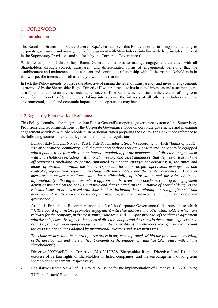# 1. FOREWORD

#### 1.1 Introduction

The Board of Directors of Banca Generali S.p.A. has adopted this Policy in order to bring rules relating to corporate governance and management of engagement with Shareholders into line with the principles included in the Supervisory Provisions and set forth by the Corporate Governance Code.

With the adoption of this Policy, Banca Generali undertakes to manage engagement activities with all Shareholders through correct, transparent and differentiated forms of engagement, believing that the establishment and maintenance of a constant and continuous relationship with all the main stakeholders is in its own specific interest, as well as a duty towards the market.

In fact, the Policy intends to pursue the objective of raising the level of transparency and investor engagement, as promoted by the Shareholder Rights Directive II with reference to institutional investors and asset managers, as a functional tool to ensure the sustainable success of the Bank, which consists in the creation of long-term value for the benefit of Shareholders, taking into account the interests of all other stakeholders and the environmental, social and economic impacts that its operations may have.

#### 1.2 Regulatory Framework of Reference

This Policy formalises the integration into Banca Generali's corporate governance system of the Supervisory Provisions and recommendations of the Corporate Governance Code on corporate governance and managing engagement activities with Shareholders. In particular, when preparing the Policy, the Bank made reference to the following sources of external legislation and internal regulations:

- ˗ Bank of Italy Circular No. 285 (Part I, Title IV, Chapter 1, Sect. V) according to which "*Banks of greater size or operational complexity, with the exception of those that are 100% controlled, are to be equipped with a policy, to be formalised in an internal regulation, for the management of directors' engagement with Shareholders (including institutional investors and asset managers) that defines at least: i) the offices/parties (including corporate) appointed to manage engagement activities; ii) the times and modes of circulation, within the bodies responsible for the strategic supervision, management and control of information regarding meetings with shareholders and the related outcomes; iii) control measures to ensure compliance with the confidentiality of information and the rules on inside information; (iv) the differences, where appropriate, between the procedures relating to engagement activities initiated on the bank's initiative and that initiated on the initiative of shareholders; (v) the relevant issues to be discussed with shareholders, including those relating to strategy, financial and non-financial results, as well as risks, capital structure, social and environmental impact and corporate governance*";
- Article 1, Principle 4, Recommendation No. 3 of the Corporate Governance Code, pursuant to which "*4. The board of directors promotes engagement with shareholders and other stakeholders which are relevant for the company, in the most appropriate way"* and "*3. Upon proposal of the chair in agreement with the chief executive officer, the board of directors adopts and describes in the corporate governance report a policy for managing engagement with the generality of shareholders, taking also into account the engagement policies adopted by institutional investors and asset managers.*

*The chair ensures that the board of directors is in any case informed, within the first suitable meeting, of the development and the significant contents of the engagement that has taken place with all the shareholders*";

- Directive 2007/36/EC and Directive (EU) 2017/828 (Shareholder Rights Directive I and II) on the exercise of certain rights of shareholders in listed companies, and the encouragement of long-term shareholder engagement, respectively;
- Legislative Decree No. 49 of 10 May 2019, issued for the implementation of Directive (EU) 2017/828;
- ˗ TUF and Issuers' Regulation;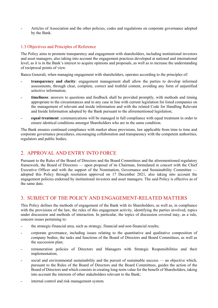˗ Articles of Association and the other policies, codes and regulations on corporate governance adopted by the Bank.

### 1.3 Objectives and Principles of Reference

The Policy aims to promote transparency and engagement with shareholders, including institutional investors and asset managers, also taking into account the engagement practices developed at national and international level, as it is in the Bank's interest to acquire opinions and proposals, as well as to increase the understanding of reciprocal points of view.

Banca Generali, when managing engagement with shareholders, operates according to the principles of:

- ˗ **transparency and clarity**: engagement management shall allow the parties to develop informed assessments, through clear, complete, correct and truthful content, avoiding any form of unjustified selective information;
- ˗ **timeliness**: answers to questions and feedback shall be provided promptly, with methods and timing appropriate to the circumstances and in any case in line with current legislation for listed companies on the management of relevant and inside information and with the related Code for Handling Relevant and Inside Information adopted by the Bank pursuant to the aforementioned legislation;
- ˗ **equal treatment**: communications will be managed in full compliance with equal treatment in order to ensure identical conditions amongst Shareholders who are in the same condition.

The Bank ensures continued compliance with market abuse provisions, law applicable from time to time and corporate governance procedures, encouraging collaboration and transparency with the competent authorities, regulators and public bodies.

# 2. APPROVAL AND ENTRY INTO FORCE

Pursuant to the Rules of the Board of Directors and the Board Committees and the aforementioned regulatory framework, the Board of Directors — upon proposal of its Chairman, formulated in concert with the Chief Executive Officer and with the support of the Nomination, Governance and Sustainability Committee adopted this Policy through resolution approved on 17 December 2021, also taking into account the engagement policies endorsed by institutional investors and asset managers. The said Policy is effective as of the same date.

# 3. SUBJECT OF THE POLICY AND ENGAGEMENT-RELATED MATTERS

This Policy defines the methods of engagement of the Bank with its Shareholders, as well as, in compliance with the provisions of the law, the rules of this engagement activity, identifying the parties involved, topics under discussion and methods of interaction. In particular, the topics of discussion covered may, as a rule, concern issues pertaining to:

- the strategic-financial area, such as strategy, financial and non-financial results;
- ˗ corporate governance, including issues relating to the quantitative and qualitative composition of company bodies, the tasks and functions of the Board of Directors and Board Committees, as well as the succession plan;
- ˗ remuneration policies of Directors and Managers with Strategic Responsibilities and their implementation;
- social and environmental sustainability and the pursuit of sustainable success an objective which, pursuant to the Rules of the Board of Directors and the Board Committees, guides the action of the Board of Directors and which consists in creating long-term value for the benefit of Shareholders, taking into account the interests of other stakeholders relevant to the Bank;
- internal control and risk management system.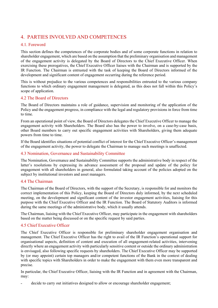# 4. PARTIES INVOLVED AND COMPETENCES

## 4.1. Foreword

This section defines the competences of the corporate bodies and of some corporate functions in relation to shareholder engagement, which are based on the assumption that the preliminary organisation and management of the engagement activity is delegated by the Board of Directors to the Chief Executive Officer. When exercising these prerogatives, the Chief Executive Officer liaises with the Chairman and is supported by the IR Function. The Chairman is entrusted with the task of keeping the Board of Directors informed of the development and significant content of engagement occurring during the reference period.

This is without prejudice to the various competences and responsibilities entrusted to the various company functions to which ordinary engagement management is delegated, as this does not fall within this Policy's scope of application.

#### 4.2 The Board of Directors

The Board of Directors maintains a role of guidance, supervision and monitoring of the application of the Policy and the engagement progress, in compliance with the legal and regulatory provisions in force from time to time.

From an operational point of view, the Board of Directors delegates the Chief Executive Officer to manage the engagement activity with Shareholders. The Board also has the power to involve, on a case-by-case basis, other Board members to carry out specific engagement activities with Shareholders, giving them adequate powers from time to time.

If the Board identifies situations of potential conflict of interest for the Chief Executive Officer's management of the engagement activity, the power to delegate the Chairman to manage such meetings is unaffected.

#### 4.3 Nomination, Governance and Sustainability Committee

The Nomination, Governance and Sustainability Committee supports the administrative body in respect of the latter's resolutions by expressing its advance assessment of the proposal and update of the policy for engagement with all shareholders in general, also formulated taking account of the policies adopted on the subject by institutional investors and asset managers.

#### 4.4 The Chairman

The Chairman of the Board of Directors, with the support of the Secretary, is responsible for and monitors the correct implementation of this Policy, keeping the Board of Directors duly informed, by the next scheduled meeting, on the development and significant content of the investor engagement activities, liaising for this purpose with the Chief Executive Officer and the IR Function. The Board of Statutory Auditors is informed during the same meetings of the administrative body, which it usually attends.

The Chairman, liaising with the Chief Executive Officer, may participate in the engagement with shareholders based on the matter being discussed or on the specific request by said parties.

## 4.5 Chief Executive Officer

The Chief Executive Officer is responsible for preliminary shareholder engagement organisation and management. The Chief Executive Officer has the right to avail of the IR Function's operational support for organisational aspects, definition of content and execution of all engagement-related activities, intervening directly where an engagement activity with particularly sensitive content or outside the ordinary administration is envisaged, also following specific requests by shareholders. The Chief Executive Officer may be supported by (or may appoint) certain top managers and/or competent functions of the Bank in the context of dealing with specific topics with Shareholders in order to make the engagement with them even more transparent and precise.

In particular, the Chief Executive Officer, liaising with the IR Function and in agreement with the Chairman, may:

decide to carry out initiatives designed to allow or encourage shareholder engagement;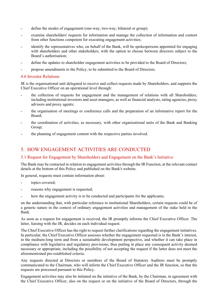- define the modes of engagement (one-way, two-way, bilateral or group);
- ˗ examine shareholders' requests for information and manage the collection of information and content from other functions competent for executing engagement activities;
- ˗ identify the representatives who, on behalf of the Bank, will be spokespersons appointed for engaging with shareholders and other stakeholders, with the option to choose between directors subject to the Board's authorisation;
- define the updates to shareholder engagement activities to be provided to the Board of Directors;
- propose amendments to the Policy, to be submitted to the Board of Directors.

#### 4.6 Investor Relations

IR is the organisational unit delegated to receive and collect requests made by Shareholders, and supports the Chief Executive Officer on an operational level through:

- ˗ the collection of requests for engagement and the management of relations with all Shareholders, including institutional investors and asset managers, as well as financial analysts, rating agencies, proxy advisors and proxy agents;
- the organisation of meetings or conference calls and the preparation of an informative report for the Board;
- ˗ the coordination of activities, as necessary, with other organisational units of the Bank and Banking Group;
- ˗ the planning of engagement content with the respective parties involved.

## 5. HOW ENGAGEMENT ACTIVITIES ARE CONDUCTED

#### 5.1 Request for Engagement by Shareholders and Engagement on the Bank's Initiative

The Bank may be contacted in relation to engagement activities through the IR Function, at the relevant contact details at the bottom of this Policy and published on the Bank's website.

In general, requests must contain information about:

- topics covered;
- reasons why engagement is requested;
- how the engagement activity is to be conducted and participants for the applicants;

on the understanding that, with particular reference to institutional Shareholders, certain requests could be of a generic nature in the context of ordinary engagement activities and management of the stake held in the Bank.

As soon as a request for engagement is received, the IR promptly informs the Chief Executive Officer. The latter, liaising with the IR, decides on each individual request.

The Chief Executive Officer has the right to request further clarifications regarding the engagement initiatives. In particular, the Chief Executive Officer assesses whether the engagement requested is in the Bank's interest, in the medium-long term and from a sustainable development perspective, and whether it can take place in compliance with legislative and regulatory provisions, thus putting in place any consequent activity deemed necessary or appropriate, including the possibility of not accepting the request if the latter does not meet the aforementioned pre-established criteria.

Any requests directed at Directors or members of the Board of Statutory Auditors must be promptly communicated to the Chairman, who will inform the Chief Executive Officer and the IR function, so that the requests are processed pursuant to this Policy.

Engagement activities may also be initiated on the initiative of the Bank, by the Chairman, in agreement with the Chief Executive Officer, also on the request or on the initiative of the Board of Directors, through the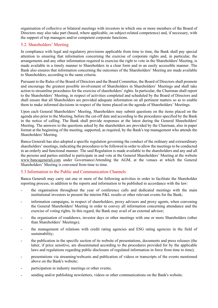organisation of collective or bilateral meetings with investors in which one or more members of the Board of Directors may also take part (based, where applicable, on subject-related competence) and, if necessary, with the support of top managers and/or competent corporate functions.

## 5.2. Shareholders' Meeting

In compliance with legal and regulatory provisions applicable from time to time, the Bank shall pay special attention to ensuring that information concerning the exercise of corporate rights and, in particular, the arrangements and any other information required to exercise the right to vote in the Shareholders' Meeting, is made available in a timely manner to Shareholders in a clear form and in an easily accessible manner. The Bank also ensures that information concerning the outcomes of the Shareholders' Meeting are made available to Shareholders, according to the same criteria.

Pursuant to the Rules of the Board of Directors and the Board Committee, the Board of Directors shall promote and encourage the greatest possible involvement of Shareholders in Shareholders' Meetings and shall take action to streamline procedures for the exercise of shareholders' rights. In particular, the Chairman shall report to the Shareholders' Meeting, in respect of activities completed and scheduled by the Board of Directors and shall ensure that all Shareholders are provided adequate information on all pertinent matters so as to enable them to make informed decisions in respect of the items placed on the agenda of Shareholders' Meetings.

Upon each General Shareholders' Meeting, Shareholders may submit questions on the items placed on the agenda also prior to the Meeting, before the cut-off date and according to the procedures specified by the Bank in the notice of calling. The Bank shall provide responses at the latest during the General Shareholders' Meeting. The answers to the questions asked by the shareholders are provided by the Chairman, also in paper format at the beginning of the meeting, supported, as required, by the Bank's top management who attends the Shareholders' Meeting.

Banca Generali has also adopted a specific regulation governing the conduct of the ordinary and extraordinary shareholders' meetings, indicating the procedures to be followed in order to allow the meetings to be conducted in an orderly and functional manner. The said Regulation is made available to the shareholders and any and all the persons and parties entitled to participate in and vote at the General Shareholders' Meeting at the website www.bancagenerali.com under Governance/Attending the AGM, at the venues at which the General Shareholders' Meeting is convened from time to time.

## 5.3 Information to the Public and Communication Channels

Banca Generali may carry out one or more of the following activities in order to facilitate the Shareholder reporting process, in addition to the reports and information to be published in accordance with the law:

- ˗ the organisation throughout the year of conference calls and dedicated meetings with the main institutional investors to present the interim P&L results or other relevant events for the Bank;
- ˗ information campaigns, in respect of shareholders, proxy advisors and proxy agents, when convening the General Shareholders' Meeting in order to convey all information concerning attendance and the exercise of voting rights. In this regard, the Bank may avail of an external advisor;
- ˗ the organisation of roadshows, investor days or other meetings with one or more Shareholders (other than Shareholders' Meetings);
- ˗ the management of relations with credit rating agencies and ESG rating agencies in the field of sustainability;
- ˗ the publication in the specific section of its website of presentations, documents and press releases (the latter, if price sensitive, are disseminated according to the procedures provided for by the applicable laws and regulations regarding public disclosure of regulated information in force from time to time);
- ˗ presentations via streaming/webcasts and publication of videos or transcripts of the events mentioned above on the Bank's website;
- participation in industry meetings or other events;
- sending and/or publishing newsletters, videos or other communications on the Bank's website.